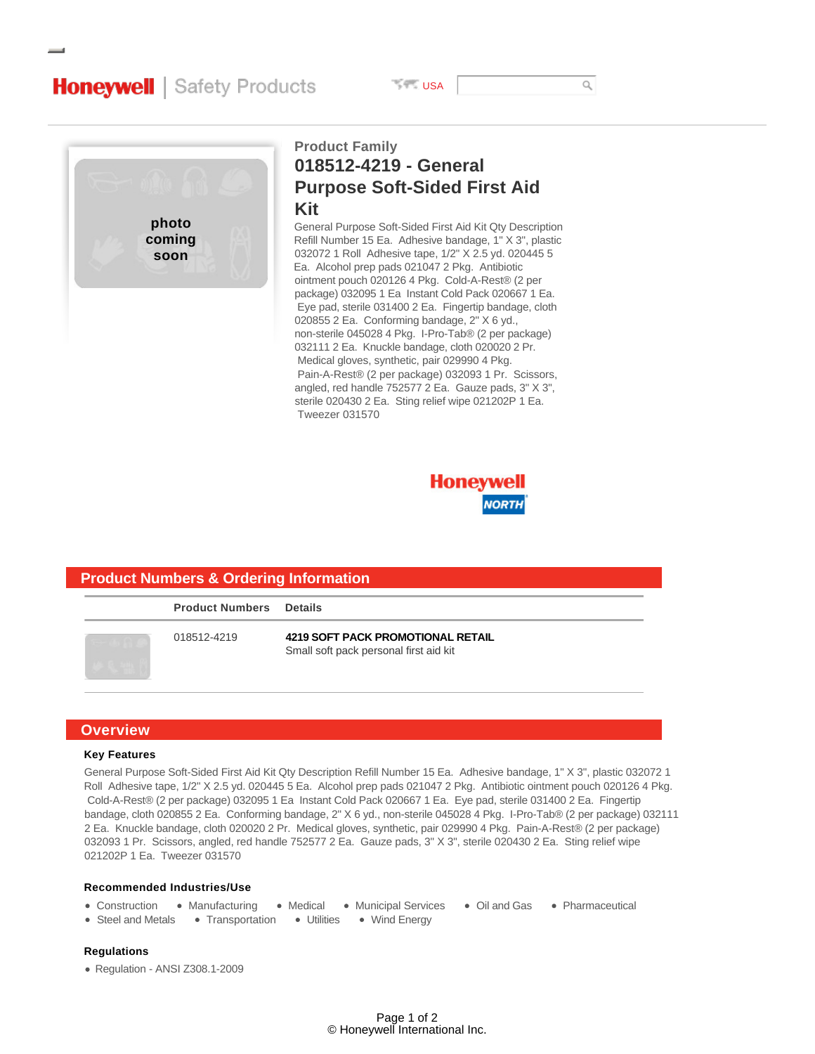# **Honeywell** | Safety Products

**USA** 



# **018512-4219 - General Purpose Soft-Sided First Aid Kit Product Family**

General Purpose Soft-Sided First Aid Kit Qty Description Refill Number 15 Ea. Adhesive bandage, 1" X 3", plastic 032072 1 Roll Adhesive tape, 1/2" X 2.5 yd. 020445 5 Ea. Alcohol prep pads 021047 2 Pkg. Antibiotic ointment pouch 020126 4 Pkg. Cold-A-Rest® (2 per package) 032095 1 Ea Instant Cold Pack 020667 1 Ea. Eye pad, sterile 031400 2 Ea. Fingertip bandage, cloth 020855 2 Ea. Conforming bandage, 2" X 6 yd., non-sterile 045028 4 Pkg. I-Pro-Tab® (2 per package) 032111 2 Ea. Knuckle bandage, cloth 020020 2 Pr. Medical gloves, synthetic, pair 029990 4 Pkg. Pain-A-Rest® (2 per package) 032093 1 Pr. Scissors, angled, red handle 752577 2 Ea. Gauze pads, 3" X 3", sterile 020430 2 Ea. Sting relief wipe 021202P 1 Ea. Tweezer 031570



# **Product Numbers Details** 018512-4219 **4219 SOFT PACK PROMOTIONAL RETAIL** Small soft pack personal first aid kit **Product Numbers & Ordering Information**

## **Overview**

#### **Key Features**

General Purpose Soft-Sided First Aid Kit Qty Description Refill Number 15 Ea. Adhesive bandage, 1" X 3", plastic 032072 1 Roll Adhesive tape, 1/2" X 2.5 yd. 020445 5 Ea. Alcohol prep pads 021047 2 Pkg. Antibiotic ointment pouch 020126 4 Pkg. Cold-A-Rest® (2 per package) 032095 1 Ea Instant Cold Pack 020667 1 Ea. Eye pad, sterile 031400 2 Ea. Fingertip bandage, cloth 020855 2 Ea. Conforming bandage, 2" X 6 yd., non-sterile 045028 4 Pkg. I-Pro-Tab® (2 per package) 032111 2 Ea. Knuckle bandage, cloth 020020 2 Pr. Medical gloves, synthetic, pair 029990 4 Pkg. Pain-A-Rest® (2 per package) 032093 1 Pr. Scissors, angled, red handle 752577 2 Ea. Gauze pads, 3" X 3", sterile 020430 2 Ea. Sting relief wipe 021202P 1 Ea. Tweezer 031570

### **Recommended Industries/Use**

- Construction Manufacturing Medical Municipal Services Oil and Gas Pharmaceutical
- Steel and Metals Transportation Utilities Wind Energy

### **Regulations**

Regulation - ANSI Z308.1-2009

 $\alpha$